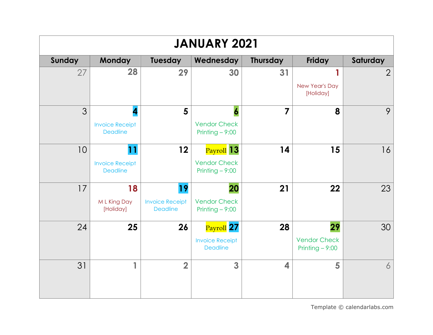| <b>JANUARY 2021</b> |                                           |                                           |                                           |                 |                                         |                |  |  |
|---------------------|-------------------------------------------|-------------------------------------------|-------------------------------------------|-----------------|-----------------------------------------|----------------|--|--|
| Sunday              | <b>Monday</b>                             | Tuesday                                   | Wednesday                                 | <b>Thursday</b> | Friday                                  | Saturday       |  |  |
| 27                  | 28                                        | 29                                        | 30                                        | 31              | 1                                       | $\overline{2}$ |  |  |
|                     |                                           |                                           |                                           |                 | New Year's Day<br>[Holiday]             |                |  |  |
| 3                   | 4                                         | 5                                         | 6                                         | $\overline{7}$  | 8                                       | 9              |  |  |
|                     | <b>Invoice Receipt</b><br><b>Deadline</b> |                                           | <b>Vendor Check</b><br>Printing $-9:00$   |                 |                                         |                |  |  |
| 10                  | 11                                        | 12                                        | $Payroll$ 13                              | 14              | 15                                      | 16             |  |  |
|                     | <b>Invoice Receipt</b><br><b>Deadline</b> |                                           | <b>Vendor Check</b><br>Printing $-9:00$   |                 |                                         |                |  |  |
| 17                  | 18                                        | 19                                        | 20                                        | 21              | 22                                      | 23             |  |  |
|                     | M L King Day<br>[Holiday]                 | <b>Invoice Receipt</b><br><b>Deadline</b> | <b>Vendor Check</b><br>Printing $-9:00$   |                 |                                         |                |  |  |
| 24                  | 25                                        | 26                                        | Payroll 27                                | 28              | 29                                      | 30             |  |  |
|                     |                                           |                                           | <b>Invoice Receipt</b><br><b>Deadline</b> |                 | <b>Vendor Check</b><br>Printing $-9:00$ |                |  |  |
| 31                  | 1                                         | $\overline{2}$                            | 3                                         | 4               | 5                                       | 6              |  |  |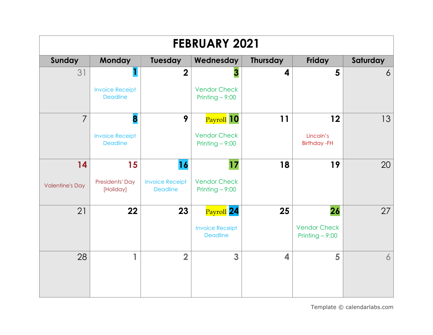| <b>FEBRUARY 2021</b>   |                                                                                |                                           |                                           |    |                                         |    |  |  |  |
|------------------------|--------------------------------------------------------------------------------|-------------------------------------------|-------------------------------------------|----|-----------------------------------------|----|--|--|--|
| Sunday                 | <b>Monday</b><br>Tuesday<br>Wednesday<br><b>Thursday</b><br>Friday<br>Saturday |                                           |                                           |    |                                         |    |  |  |  |
| 31                     |                                                                                | $\overline{\mathbf{2}}$                   | 3                                         | 4  | 5                                       | 6  |  |  |  |
|                        | <b>Invoice Receipt</b><br><b>Deadline</b>                                      |                                           | <b>Vendor Check</b><br>Printing $-9:00$   |    |                                         |    |  |  |  |
| $\overline{7}$         | 8                                                                              | 9                                         | Payroll 10                                | 11 | 12                                      | 13 |  |  |  |
|                        | <b>Invoice Receipt</b><br><b>Deadline</b>                                      |                                           | <b>Vendor Check</b><br>Printing $-9:00$   |    | Lincoln's<br><b>Birthday-FH</b>         |    |  |  |  |
| 14                     | 15                                                                             | 16                                        | 17                                        | 18 | 19                                      | 20 |  |  |  |
| <b>Valentine's Day</b> | Presidents' Day<br>[Holiday]                                                   | <b>Invoice Receipt</b><br><b>Deadline</b> | <b>Vendor Check</b><br>Printing $-9:00$   |    |                                         |    |  |  |  |
| 21                     | 22                                                                             | 23                                        | Payroll 24                                | 25 | 26                                      | 27 |  |  |  |
|                        |                                                                                |                                           | <b>Invoice Receipt</b><br><b>Deadline</b> |    | <b>Vendor Check</b><br>Printing $-9:00$ |    |  |  |  |
| 28                     | 1                                                                              | $\overline{2}$                            | 3                                         | 4  | 5                                       | 6  |  |  |  |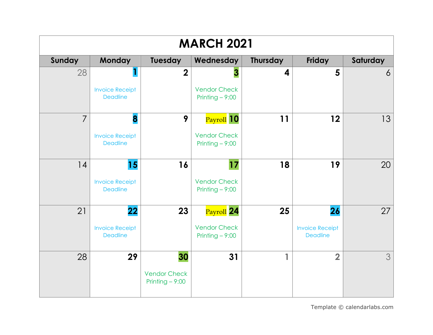| <b>MARCH 2021</b> |                                           |                                                               |                                         |    |                                           |    |  |  |  |
|-------------------|-------------------------------------------|---------------------------------------------------------------|-----------------------------------------|----|-------------------------------------------|----|--|--|--|
| Sunday            | <b>Monday</b>                             | Tuesday<br><b>Thursday</b><br>Friday<br>Wednesday<br>Saturday |                                         |    |                                           |    |  |  |  |
| 28                |                                           | $\overline{\mathbf{2}}$                                       | 3                                       | 4  | 5                                         | 6  |  |  |  |
|                   | <b>Invoice Receipt</b><br><b>Deadline</b> |                                                               | <b>Vendor Check</b><br>Printing $-9:00$ |    |                                           |    |  |  |  |
| $\overline{7}$    | 8                                         | 9                                                             | Payroll <sup>10</sup>                   | 11 | 12                                        | 13 |  |  |  |
|                   | <b>Invoice Receipt</b><br><b>Deadline</b> |                                                               | <b>Vendor Check</b><br>Printing $-9:00$ |    |                                           |    |  |  |  |
| 14                | 15                                        | 16                                                            | 17                                      | 18 | 19                                        | 20 |  |  |  |
|                   | <b>Invoice Receipt</b><br><b>Deadline</b> |                                                               | <b>Vendor Check</b><br>Printing $-9:00$ |    |                                           |    |  |  |  |
| 21                | 22                                        | 23                                                            | Payroll 24                              | 25 | 26                                        | 27 |  |  |  |
|                   | <b>Invoice Receipt</b><br><b>Deadline</b> |                                                               | <b>Vendor Check</b><br>Printing $-9:00$ |    | <b>Invoice Receipt</b><br><b>Deadline</b> |    |  |  |  |
| 28                | 29                                        | 30                                                            | 31                                      | 1  | $\overline{\mathbf{2}}$                   | 3  |  |  |  |
|                   |                                           | <b>Vendor Check</b><br>Printing $-9:00$                       |                                         |    |                                           |    |  |  |  |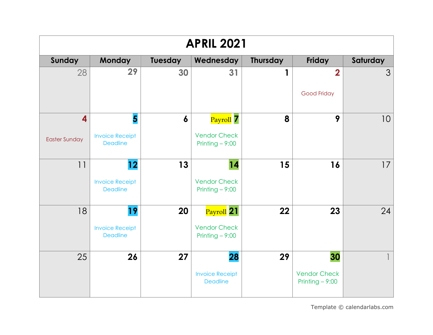| <b>APRIL 2021</b>                               |                                                                      |         |                                                       |                 |                                               |          |  |  |  |
|-------------------------------------------------|----------------------------------------------------------------------|---------|-------------------------------------------------------|-----------------|-----------------------------------------------|----------|--|--|--|
| Sunday                                          | <b>Monday</b>                                                        | Tuesday | Wednesday                                             | <b>Thursday</b> | <b>Friday</b>                                 | Saturday |  |  |  |
| 28                                              | 29                                                                   | 30      | 31                                                    | 1               | $\overline{\mathbf{2}}$<br>Good Friday        | 3        |  |  |  |
| $\overline{\mathbf{4}}$<br><b>Easter Sunday</b> | $\overline{\mathbf{5}}$<br><b>Invoice Receipt</b><br><b>Deadline</b> | 6       | Payroll 7<br><b>Vendor Check</b><br>Printing $-9:00$  | 8               | 9                                             | 10       |  |  |  |
| 11                                              | 12<br><b>Invoice Receipt</b><br><b>Deadline</b>                      | 13      | 14<br><b>Vendor Check</b><br>Printing $-9:00$         | 15              | 16                                            | 17       |  |  |  |
| 18                                              | 19<br><b>Invoice Receipt</b><br><b>Deadline</b>                      | 20      | Payroll 21<br><b>Vendor Check</b><br>Printing $-9:00$ | 22              | 23                                            | 24       |  |  |  |
| 25                                              | 26                                                                   | 27      | 28<br><b>Invoice Receipt</b><br><b>Deadline</b>       | 29              | 30<br><b>Vendor Check</b><br>Printing $-9:00$ |          |  |  |  |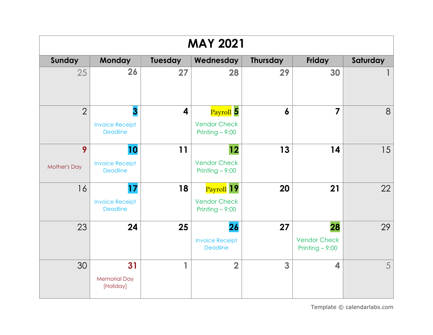| <b>MAY 2021</b>          |                                                 |                          |                                                       |                 |                                               |          |  |  |
|--------------------------|-------------------------------------------------|--------------------------|-------------------------------------------------------|-----------------|-----------------------------------------------|----------|--|--|
| Sunday                   | <b>Monday</b>                                   | Tuesday                  | Wednesday                                             | <b>Thursday</b> | <b>Friday</b>                                 | Saturday |  |  |
| 25                       | 26                                              | 27                       | 28                                                    | 29              | 30                                            |          |  |  |
| $\overline{2}$           | 3<br><b>Invoice Receipt</b><br><b>Deadline</b>  | 4                        | Payroll 5<br><b>Vendor Check</b><br>Printing $-9:00$  | 6               | $\overline{\mathbf{z}}$                       | 8        |  |  |
| 9<br><b>Mother's Day</b> | 10<br><b>Invoice Receipt</b><br><b>Deadline</b> | 11                       | 12<br><b>Vendor Check</b><br>Printing $-9:00$         | 13              | 14                                            | 15       |  |  |
| 16                       | 17<br><b>Invoice Receipt</b><br><b>Deadline</b> | 18                       | Payroll 19<br><b>Vendor Check</b><br>Printing $-9:00$ | 20              | 21                                            | 22       |  |  |
| 23                       | 24                                              | 25                       | 26<br><b>Invoice Receipt</b><br><b>Deadline</b>       | 27              | 28<br><b>Vendor Check</b><br>Printing $-9:00$ | 29       |  |  |
| 30                       | 31<br><b>Memorial Day</b><br>[Holiday]          | $\overline{\phantom{a}}$ | $\overline{2}$                                        | 3               | $\overline{\mathbf{4}}$                       | 5        |  |  |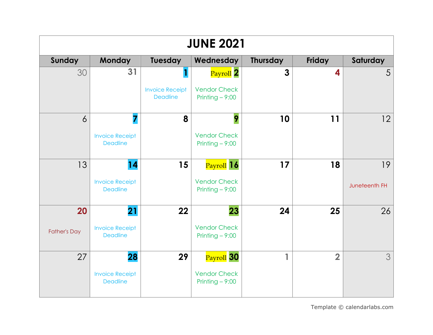| <b>JUNE 2021</b>    |                                           |                                           |                                         |                 |                |               |  |  |  |
|---------------------|-------------------------------------------|-------------------------------------------|-----------------------------------------|-----------------|----------------|---------------|--|--|--|
| Sunday              | <b>Monday</b>                             | Tuesday                                   | Wednesday                               | <b>Thursday</b> | Friday         | Saturday      |  |  |  |
| 30                  | 31                                        |                                           | Payroll 2                               | 3               | 4              | 5             |  |  |  |
|                     |                                           | <b>Invoice Receipt</b><br><b>Deadline</b> | <b>Vendor Check</b><br>Printing $-9:00$ |                 |                |               |  |  |  |
| $\overline{6}$      | 7                                         | 8                                         | 9                                       | 10              | 11             | 12            |  |  |  |
|                     | <b>Invoice Receipt</b><br><b>Deadline</b> |                                           | <b>Vendor Check</b><br>Printing $-9:00$ |                 |                |               |  |  |  |
| 13                  | 14                                        | 15                                        | Payroll 16                              | 17              | 18             | 19            |  |  |  |
|                     | <b>Invoice Receipt</b><br><b>Deadline</b> |                                           | <b>Vendor Check</b><br>Printing $-9:00$ |                 |                | Juneteenth FH |  |  |  |
| 20                  | 21                                        | 22                                        | 23                                      | 24              | 25             | 26            |  |  |  |
| <b>Father's Day</b> | <b>Invoice Receipt</b><br><b>Deadline</b> |                                           | <b>Vendor Check</b><br>Printing $-9:00$ |                 |                |               |  |  |  |
| 27                  | 28                                        | 29                                        | Payroll 30                              | 1               | $\overline{2}$ | 3             |  |  |  |
|                     | <b>Invoice Receipt</b><br><b>Deadline</b> |                                           | <b>Vendor Check</b><br>Printing $-9:00$ |                 |                |               |  |  |  |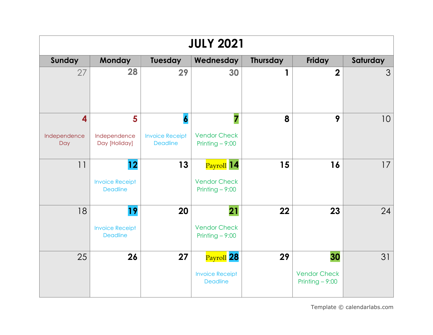| <b>JULY 2021</b>                               |                                                 |                                                               |                                                         |                 |                                               |          |  |  |  |
|------------------------------------------------|-------------------------------------------------|---------------------------------------------------------------|---------------------------------------------------------|-----------------|-----------------------------------------------|----------|--|--|--|
| Sunday                                         | <b>Monday</b>                                   | Tuesday                                                       | Wednesday                                               | <b>Thursday</b> | Friday                                        | Saturday |  |  |  |
| 27                                             | 28                                              | 29                                                            | 30                                                      | 1               | $\overline{2}$                                | 3        |  |  |  |
| $\overline{\mathbf{4}}$<br>Independence<br>Day | 5<br>Independence<br>Day [Holiday]              | $\boldsymbol{6}$<br><b>Invoice Receipt</b><br><b>Deadline</b> | 7<br><b>Vendor Check</b><br>Printing $-9:00$            | 8               | 9                                             | 10       |  |  |  |
| 11                                             | 12<br><b>Invoice Receipt</b><br><b>Deadline</b> | 13                                                            | Payroll 14<br><b>Vendor Check</b><br>Printing $-9:00$   | 15              | 16                                            | 17       |  |  |  |
| 18                                             | 19<br><b>Invoice Receipt</b><br><b>Deadline</b> | 20                                                            | 21<br><b>Vendor Check</b><br>Printing $-9:00$           | 22              | 23                                            | 24       |  |  |  |
| 25                                             | 26                                              | 27                                                            | Payroll 28<br><b>Invoice Receipt</b><br><b>Deadline</b> | 29              | 30<br><b>Vendor Check</b><br>Printing $-9:00$ | 31       |  |  |  |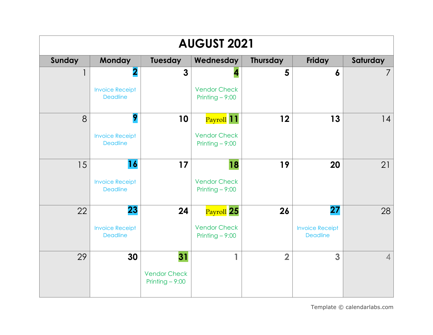| <b>AUGUST 2021</b> |                                           |                                         |                                         |                         |                                           |                |  |  |  |
|--------------------|-------------------------------------------|-----------------------------------------|-----------------------------------------|-------------------------|-------------------------------------------|----------------|--|--|--|
| Sunday             | <b>Monday</b>                             | Tuesday                                 | Wednesday                               | <b>Thursday</b>         | Friday                                    | Saturday       |  |  |  |
|                    | $\overline{\mathbf{2}}$                   | $\mathbf{3}$                            |                                         | 5                       | $\boldsymbol{6}$                          | $\overline{7}$ |  |  |  |
|                    | <b>Invoice Receipt</b><br><b>Deadline</b> |                                         | <b>Vendor Check</b><br>Printing $-9:00$ |                         |                                           |                |  |  |  |
| 8                  | 9                                         | 10                                      | Payroll 11                              | 12                      | 13                                        | 14             |  |  |  |
|                    | <b>Invoice Receipt</b><br><b>Deadline</b> |                                         | <b>Vendor Check</b><br>Printing $-9:00$ |                         |                                           |                |  |  |  |
| 15                 | 16                                        | 17                                      | 18                                      | 19                      | 20                                        | 21             |  |  |  |
|                    | <b>Invoice Receipt</b><br><b>Deadline</b> |                                         | <b>Vendor Check</b><br>Printing $-9:00$ |                         |                                           |                |  |  |  |
| 22                 | 23                                        | 24                                      | Payroll 25                              | 26                      | 27                                        | 28             |  |  |  |
|                    | <b>Invoice Receipt</b><br><b>Deadline</b> |                                         | <b>Vendor Check</b><br>Printing $-9:00$ |                         | <b>Invoice Receipt</b><br><b>Deadline</b> |                |  |  |  |
| 29                 | 30                                        | 31                                      |                                         | $\overline{\mathbf{2}}$ | 3                                         | $\overline{4}$ |  |  |  |
|                    |                                           | <b>Vendor Check</b><br>Printing $-9:00$ |                                         |                         |                                           |                |  |  |  |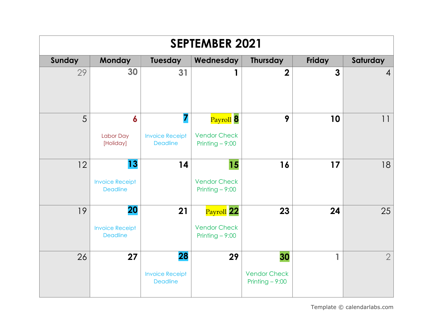| <b>SEPTEMBER 2021</b> |                                                 |                                                 |                                                       |                                               |                |                |  |  |
|-----------------------|-------------------------------------------------|-------------------------------------------------|-------------------------------------------------------|-----------------------------------------------|----------------|----------------|--|--|
| <b>Sunday</b>         | <b>Monday</b>                                   | <b>Tuesday</b>                                  | Wednesday                                             | <b>Thursday</b>                               | Friday         | Saturday       |  |  |
| 29                    | 30                                              | 31                                              |                                                       | $\overline{\mathbf{2}}$                       | $\overline{3}$ | $\overline{4}$ |  |  |
| 5                     | 6<br>Labor Day<br>[Holiday]                     | 7<br><b>Invoice Receipt</b><br><b>Deadline</b>  | Payroll 8<br><b>Vendor Check</b><br>Printing $-9:00$  | 9                                             | 10             | 11             |  |  |
| 12                    | 13<br><b>Invoice Receipt</b><br><b>Deadline</b> | 14                                              | 15<br><b>Vendor Check</b><br>Printing $-9:00$         | 16                                            | 17             | 18             |  |  |
| 19                    | 20<br><b>Invoice Receipt</b><br><b>Deadline</b> | 21                                              | Payroll 22<br><b>Vendor Check</b><br>Printing $-9:00$ | 23                                            | 24             | 25             |  |  |
| 26                    | 27                                              | 28<br><b>Invoice Receipt</b><br><b>Deadline</b> | 29                                                    | 30<br><b>Vendor Check</b><br>Printing $-9:00$ | 1              | $\overline{2}$ |  |  |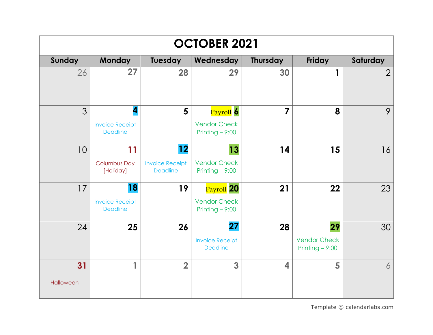| <b>OCTOBER 2021</b> |                                                 |                                                 |                                                                 |                         |                                               |                |  |  |
|---------------------|-------------------------------------------------|-------------------------------------------------|-----------------------------------------------------------------|-------------------------|-----------------------------------------------|----------------|--|--|
| <b>Sunday</b>       | <b>Monday</b>                                   | Tuesday                                         | Wednesday                                                       | <b>Thursday</b>         | Friday                                        | Saturday       |  |  |
| 26                  | 27                                              | 28                                              | 29                                                              | 30                      | 1                                             | $\overline{2}$ |  |  |
| $\mathfrak{Z}$      | 4<br><b>Invoice Receipt</b><br><b>Deadline</b>  | $5\phantom{1}$                                  | Payroll <sup>6</sup><br><b>Vendor Check</b><br>Printing $-9:00$ | 7                       | 8                                             | 9              |  |  |
| 10                  | 11<br><b>Columbus Day</b><br>[Holiday]          | 12<br><b>Invoice Receipt</b><br><b>Deadline</b> | 13<br><b>Vendor Check</b><br>Printing $-9:00$                   | 14                      | 15                                            | 16             |  |  |
| 17                  | 18<br><b>Invoice Receipt</b><br><b>Deadline</b> | 19                                              | Payroll 20<br><b>Vendor Check</b><br>Printing $-9:00$           | 21                      | 22                                            | 23             |  |  |
| 24                  | 25                                              | 26                                              | 27<br><b>Invoice Receipt</b><br><b>Deadline</b>                 | 28                      | 29<br><b>Vendor Check</b><br>Printing $-9:00$ | 30             |  |  |
| 31<br>Halloween     | 1                                               | $\overline{2}$                                  | 3                                                               | $\overline{\mathbf{4}}$ | 5                                             | 6              |  |  |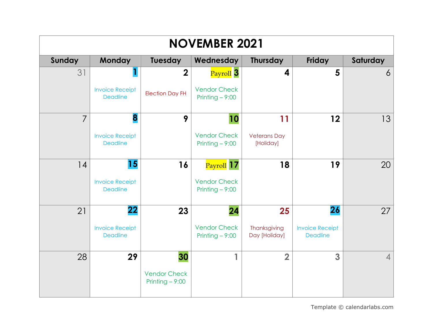| <b>NOVEMBER 2021</b> |                                           |                                                               |                                         |                                  |                                           |                |  |  |  |
|----------------------|-------------------------------------------|---------------------------------------------------------------|-----------------------------------------|----------------------------------|-------------------------------------------|----------------|--|--|--|
| Sunday               | <b>Monday</b>                             | Tuesday<br>Wednesday<br><b>Thursday</b><br>Friday<br>Saturday |                                         |                                  |                                           |                |  |  |  |
| 31                   |                                           | $\overline{2}$                                                | Payroll <sup>3</sup>                    | 4                                | 5                                         | 6              |  |  |  |
|                      | <b>Invoice Receipt</b><br><b>Deadline</b> | <b>Election Day FH</b>                                        | <b>Vendor Check</b><br>Printing $-9:00$ |                                  |                                           |                |  |  |  |
| $\overline{7}$       | 8                                         | 9                                                             | 10                                      | 11                               | 12                                        | 13             |  |  |  |
|                      | <b>Invoice Receipt</b><br><b>Deadline</b> |                                                               | <b>Vendor Check</b><br>Printing $-9:00$ | <b>Veterans Day</b><br>[Holiday] |                                           |                |  |  |  |
| 14                   | 15                                        | 16                                                            | Payroll 17                              | 18                               | 19                                        | 20             |  |  |  |
|                      | <b>Invoice Receipt</b><br><b>Deadline</b> |                                                               | <b>Vendor Check</b><br>Printing $-9:00$ |                                  |                                           |                |  |  |  |
| 21                   | 22                                        | 23                                                            | 24                                      | 25                               | 26                                        | 27             |  |  |  |
|                      | <b>Invoice Receipt</b><br><b>Deadline</b> |                                                               | <b>Vendor Check</b><br>Printing $-9:00$ | Thanksgiving<br>Day [Holiday]    | <b>Invoice Receipt</b><br><b>Deadline</b> |                |  |  |  |
| 28                   | 29                                        | 30                                                            |                                         | $\overline{\mathbf{2}}$          | 3                                         | $\overline{4}$ |  |  |  |
|                      |                                           | <b>Vendor Check</b><br>Printing $-9:00$                       |                                         |                                  |                                           |                |  |  |  |